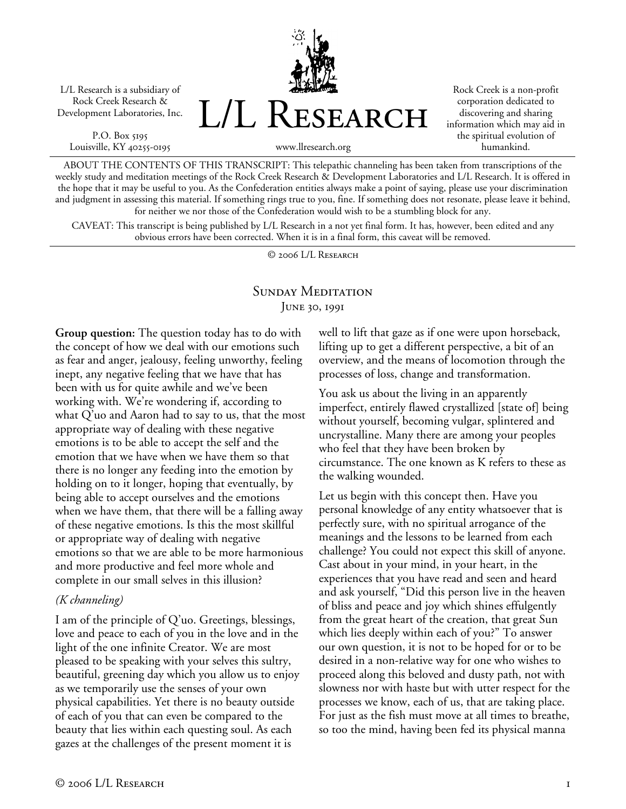L/L Research is a subsidiary of Rock Creek Research & Development Laboratories, Inc.

P.O. Box 5195 Louisville, KY 40255-0195



Rock Creek is a non-profit corporation dedicated to discovering and sharing information which may aid in the spiritual evolution of humankind.

ABOUT THE CONTENTS OF THIS TRANSCRIPT: This telepathic channeling has been taken from transcriptions of the weekly study and meditation meetings of the Rock Creek Research & Development Laboratories and L/L Research. It is offered in the hope that it may be useful to you. As the Confederation entities always make a point of saying, please use your discrimination and judgment in assessing this material. If something rings true to you, fine. If something does not resonate, please leave it behind, for neither we nor those of the Confederation would wish to be a stumbling block for any.

CAVEAT: This transcript is being published by L/L Research in a not yet final form. It has, however, been edited and any obvious errors have been corrected. When it is in a final form, this caveat will be removed.

© 2006 L/L Research

### SUNDAY MEDITATION June 30, 1991

**Group question:** The question today has to do with the concept of how we deal with our emotions such as fear and anger, jealousy, feeling unworthy, feeling inept, any negative feeling that we have that has been with us for quite awhile and we've been working with. We're wondering if, according to what Q'uo and Aaron had to say to us, that the most appropriate way of dealing with these negative emotions is to be able to accept the self and the emotion that we have when we have them so that there is no longer any feeding into the emotion by holding on to it longer, hoping that eventually, by being able to accept ourselves and the emotions when we have them, that there will be a falling away of these negative emotions. Is this the most skillful or appropriate way of dealing with negative emotions so that we are able to be more harmonious and more productive and feel more whole and complete in our small selves in this illusion?

#### *(K channeling)*

I am of the principle of Q'uo. Greetings, blessings, love and peace to each of you in the love and in the light of the one infinite Creator. We are most pleased to be speaking with your selves this sultry, beautiful, greening day which you allow us to enjoy as we temporarily use the senses of your own physical capabilities. Yet there is no beauty outside of each of you that can even be compared to the beauty that lies within each questing soul. As each gazes at the challenges of the present moment it is

well to lift that gaze as if one were upon horseback, lifting up to get a different perspective, a bit of an overview, and the means of locomotion through the processes of loss, change and transformation.

You ask us about the living in an apparently imperfect, entirely flawed crystallized [state of] being without yourself, becoming vulgar, splintered and uncrystalline. Many there are among your peoples who feel that they have been broken by circumstance. The one known as K refers to these as the walking wounded.

Let us begin with this concept then. Have you personal knowledge of any entity whatsoever that is perfectly sure, with no spiritual arrogance of the meanings and the lessons to be learned from each challenge? You could not expect this skill of anyone. Cast about in your mind, in your heart, in the experiences that you have read and seen and heard and ask yourself, "Did this person live in the heaven of bliss and peace and joy which shines effulgently from the great heart of the creation, that great Sun which lies deeply within each of you?" To answer our own question, it is not to be hoped for or to be desired in a non-relative way for one who wishes to proceed along this beloved and dusty path, not with slowness nor with haste but with utter respect for the processes we know, each of us, that are taking place. For just as the fish must move at all times to breathe, so too the mind, having been fed its physical manna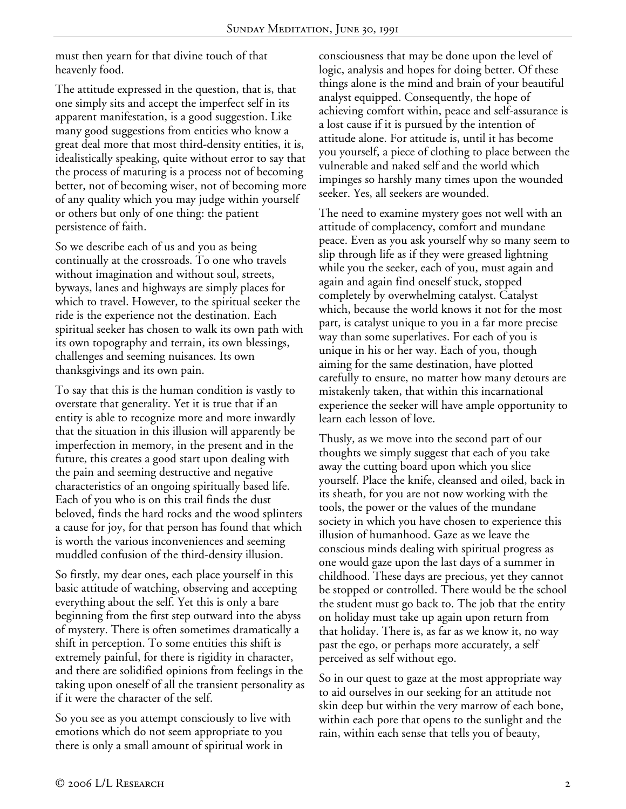must then yearn for that divine touch of that heavenly food.

The attitude expressed in the question, that is, that one simply sits and accept the imperfect self in its apparent manifestation, is a good suggestion. Like many good suggestions from entities who know a great deal more that most third-density entities, it is, idealistically speaking, quite without error to say that the process of maturing is a process not of becoming better, not of becoming wiser, not of becoming more of any quality which you may judge within yourself or others but only of one thing: the patient persistence of faith.

So we describe each of us and you as being continually at the crossroads. To one who travels without imagination and without soul, streets, byways, lanes and highways are simply places for which to travel. However, to the spiritual seeker the ride is the experience not the destination. Each spiritual seeker has chosen to walk its own path with its own topography and terrain, its own blessings, challenges and seeming nuisances. Its own thanksgivings and its own pain.

To say that this is the human condition is vastly to overstate that generality. Yet it is true that if an entity is able to recognize more and more inwardly that the situation in this illusion will apparently be imperfection in memory, in the present and in the future, this creates a good start upon dealing with the pain and seeming destructive and negative characteristics of an ongoing spiritually based life. Each of you who is on this trail finds the dust beloved, finds the hard rocks and the wood splinters a cause for joy, for that person has found that which is worth the various inconveniences and seeming muddled confusion of the third-density illusion.

So firstly, my dear ones, each place yourself in this basic attitude of watching, observing and accepting everything about the self. Yet this is only a bare beginning from the first step outward into the abyss of mystery. There is often sometimes dramatically a shift in perception. To some entities this shift is extremely painful, for there is rigidity in character, and there are solidified opinions from feelings in the taking upon oneself of all the transient personality as if it were the character of the self.

So you see as you attempt consciously to live with emotions which do not seem appropriate to you there is only a small amount of spiritual work in

consciousness that may be done upon the level of logic, analysis and hopes for doing better. Of these things alone is the mind and brain of your beautiful analyst equipped. Consequently, the hope of achieving comfort within, peace and self-assurance is a lost cause if it is pursued by the intention of attitude alone. For attitude is, until it has become you yourself, a piece of clothing to place between the vulnerable and naked self and the world which impinges so harshly many times upon the wounded seeker. Yes, all seekers are wounded.

The need to examine mystery goes not well with an attitude of complacency, comfort and mundane peace. Even as you ask yourself why so many seem to slip through life as if they were greased lightning while you the seeker, each of you, must again and again and again find oneself stuck, stopped completely by overwhelming catalyst. Catalyst which, because the world knows it not for the most part, is catalyst unique to you in a far more precise way than some superlatives. For each of you is unique in his or her way. Each of you, though aiming for the same destination, have plotted carefully to ensure, no matter how many detours are mistakenly taken, that within this incarnational experience the seeker will have ample opportunity to learn each lesson of love.

Thusly, as we move into the second part of our thoughts we simply suggest that each of you take away the cutting board upon which you slice yourself. Place the knife, cleansed and oiled, back in its sheath, for you are not now working with the tools, the power or the values of the mundane society in which you have chosen to experience this illusion of humanhood. Gaze as we leave the conscious minds dealing with spiritual progress as one would gaze upon the last days of a summer in childhood. These days are precious, yet they cannot be stopped or controlled. There would be the school the student must go back to. The job that the entity on holiday must take up again upon return from that holiday. There is, as far as we know it, no way past the ego, or perhaps more accurately, a self perceived as self without ego.

So in our quest to gaze at the most appropriate way to aid ourselves in our seeking for an attitude not skin deep but within the very marrow of each bone, within each pore that opens to the sunlight and the rain, within each sense that tells you of beauty,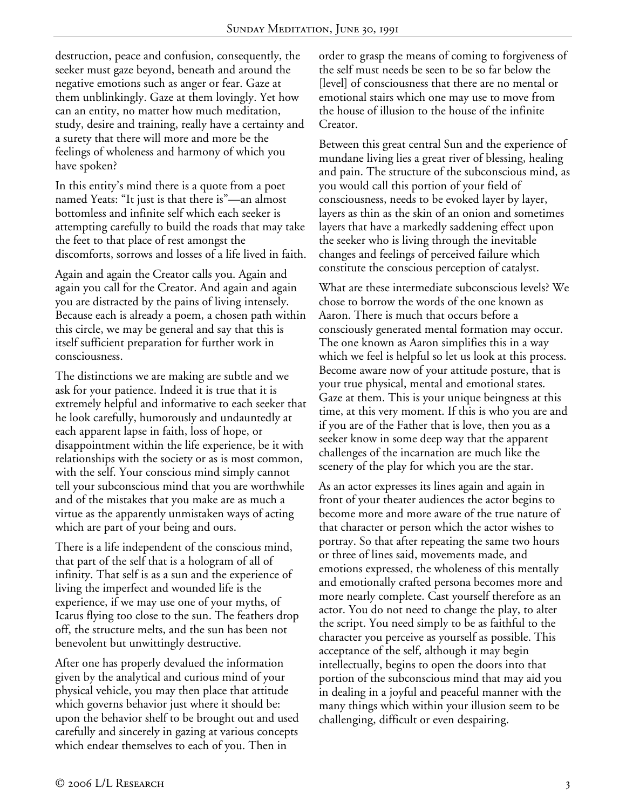destruction, peace and confusion, consequently, the seeker must gaze beyond, beneath and around the negative emotions such as anger or fear. Gaze at them unblinkingly. Gaze at them lovingly. Yet how can an entity, no matter how much meditation, study, desire and training, really have a certainty and a surety that there will more and more be the feelings of wholeness and harmony of which you have spoken?

In this entity's mind there is a quote from a poet named Yeats: "It just is that there is"—an almost bottomless and infinite self which each seeker is attempting carefully to build the roads that may take the feet to that place of rest amongst the discomforts, sorrows and losses of a life lived in faith.

Again and again the Creator calls you. Again and again you call for the Creator. And again and again you are distracted by the pains of living intensely. Because each is already a poem, a chosen path within this circle, we may be general and say that this is itself sufficient preparation for further work in consciousness.

The distinctions we are making are subtle and we ask for your patience. Indeed it is true that it is extremely helpful and informative to each seeker that he look carefully, humorously and undauntedly at each apparent lapse in faith, loss of hope, or disappointment within the life experience, be it with relationships with the society or as is most common, with the self. Your conscious mind simply cannot tell your subconscious mind that you are worthwhile and of the mistakes that you make are as much a virtue as the apparently unmistaken ways of acting which are part of your being and ours.

There is a life independent of the conscious mind, that part of the self that is a hologram of all of infinity. That self is as a sun and the experience of living the imperfect and wounded life is the experience, if we may use one of your myths, of Icarus flying too close to the sun. The feathers drop off, the structure melts, and the sun has been not benevolent but unwittingly destructive.

After one has properly devalued the information given by the analytical and curious mind of your physical vehicle, you may then place that attitude which governs behavior just where it should be: upon the behavior shelf to be brought out and used carefully and sincerely in gazing at various concepts which endear themselves to each of you. Then in

order to grasp the means of coming to forgiveness of the self must needs be seen to be so far below the [level] of consciousness that there are no mental or emotional stairs which one may use to move from the house of illusion to the house of the infinite Creator.

Between this great central Sun and the experience of mundane living lies a great river of blessing, healing and pain. The structure of the subconscious mind, as you would call this portion of your field of consciousness, needs to be evoked layer by layer, layers as thin as the skin of an onion and sometimes layers that have a markedly saddening effect upon the seeker who is living through the inevitable changes and feelings of perceived failure which constitute the conscious perception of catalyst.

What are these intermediate subconscious levels? We chose to borrow the words of the one known as Aaron. There is much that occurs before a consciously generated mental formation may occur. The one known as Aaron simplifies this in a way which we feel is helpful so let us look at this process. Become aware now of your attitude posture, that is your true physical, mental and emotional states. Gaze at them. This is your unique beingness at this time, at this very moment. If this is who you are and if you are of the Father that is love, then you as a seeker know in some deep way that the apparent challenges of the incarnation are much like the scenery of the play for which you are the star.

As an actor expresses its lines again and again in front of your theater audiences the actor begins to become more and more aware of the true nature of that character or person which the actor wishes to portray. So that after repeating the same two hours or three of lines said, movements made, and emotions expressed, the wholeness of this mentally and emotionally crafted persona becomes more and more nearly complete. Cast yourself therefore as an actor. You do not need to change the play, to alter the script. You need simply to be as faithful to the character you perceive as yourself as possible. This acceptance of the self, although it may begin intellectually, begins to open the doors into that portion of the subconscious mind that may aid you in dealing in a joyful and peaceful manner with the many things which within your illusion seem to be challenging, difficult or even despairing.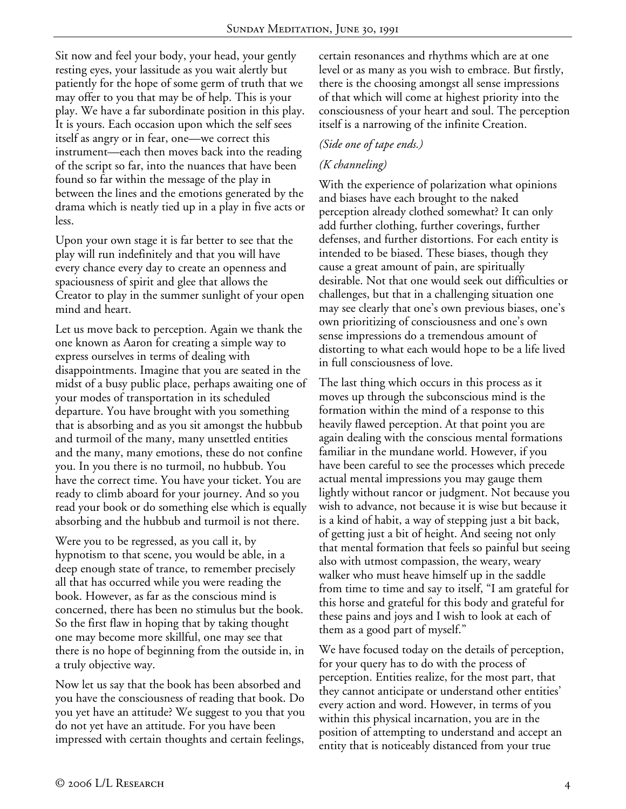Sit now and feel your body, your head, your gently resting eyes, your lassitude as you wait alertly but patiently for the hope of some germ of truth that we may offer to you that may be of help. This is your play. We have a far subordinate position in this play. It is yours. Each occasion upon which the self sees itself as angry or in fear, one—we correct this instrument—each then moves back into the reading of the script so far, into the nuances that have been found so far within the message of the play in between the lines and the emotions generated by the drama which is neatly tied up in a play in five acts or less.

Upon your own stage it is far better to see that the play will run indefinitely and that you will have every chance every day to create an openness and spaciousness of spirit and glee that allows the Creator to play in the summer sunlight of your open mind and heart.

Let us move back to perception. Again we thank the one known as Aaron for creating a simple way to express ourselves in terms of dealing with disappointments. Imagine that you are seated in the midst of a busy public place, perhaps awaiting one of your modes of transportation in its scheduled departure. You have brought with you something that is absorbing and as you sit amongst the hubbub and turmoil of the many, many unsettled entities and the many, many emotions, these do not confine you. In you there is no turmoil, no hubbub. You have the correct time. You have your ticket. You are ready to climb aboard for your journey. And so you read your book or do something else which is equally absorbing and the hubbub and turmoil is not there.

Were you to be regressed, as you call it, by hypnotism to that scene, you would be able, in a deep enough state of trance, to remember precisely all that has occurred while you were reading the book. However, as far as the conscious mind is concerned, there has been no stimulus but the book. So the first flaw in hoping that by taking thought one may become more skillful, one may see that there is no hope of beginning from the outside in, in a truly objective way.

Now let us say that the book has been absorbed and you have the consciousness of reading that book. Do you yet have an attitude? We suggest to you that you do not yet have an attitude. For you have been impressed with certain thoughts and certain feelings,

certain resonances and rhythms which are at one level or as many as you wish to embrace. But firstly, there is the choosing amongst all sense impressions of that which will come at highest priority into the consciousness of your heart and soul. The perception itself is a narrowing of the infinite Creation.

#### *(Side one of tape ends.)*

### *(K channeling)*

With the experience of polarization what opinions and biases have each brought to the naked perception already clothed somewhat? It can only add further clothing, further coverings, further defenses, and further distortions. For each entity is intended to be biased. These biases, though they cause a great amount of pain, are spiritually desirable. Not that one would seek out difficulties or challenges, but that in a challenging situation one may see clearly that one's own previous biases, one's own prioritizing of consciousness and one's own sense impressions do a tremendous amount of distorting to what each would hope to be a life lived in full consciousness of love.

The last thing which occurs in this process as it moves up through the subconscious mind is the formation within the mind of a response to this heavily flawed perception. At that point you are again dealing with the conscious mental formations familiar in the mundane world. However, if you have been careful to see the processes which precede actual mental impressions you may gauge them lightly without rancor or judgment. Not because you wish to advance, not because it is wise but because it is a kind of habit, a way of stepping just a bit back, of getting just a bit of height. And seeing not only that mental formation that feels so painful but seeing also with utmost compassion, the weary, weary walker who must heave himself up in the saddle from time to time and say to itself, "I am grateful for this horse and grateful for this body and grateful for these pains and joys and I wish to look at each of them as a good part of myself."

We have focused today on the details of perception, for your query has to do with the process of perception. Entities realize, for the most part, that they cannot anticipate or understand other entities' every action and word. However, in terms of you within this physical incarnation, you are in the position of attempting to understand and accept an entity that is noticeably distanced from your true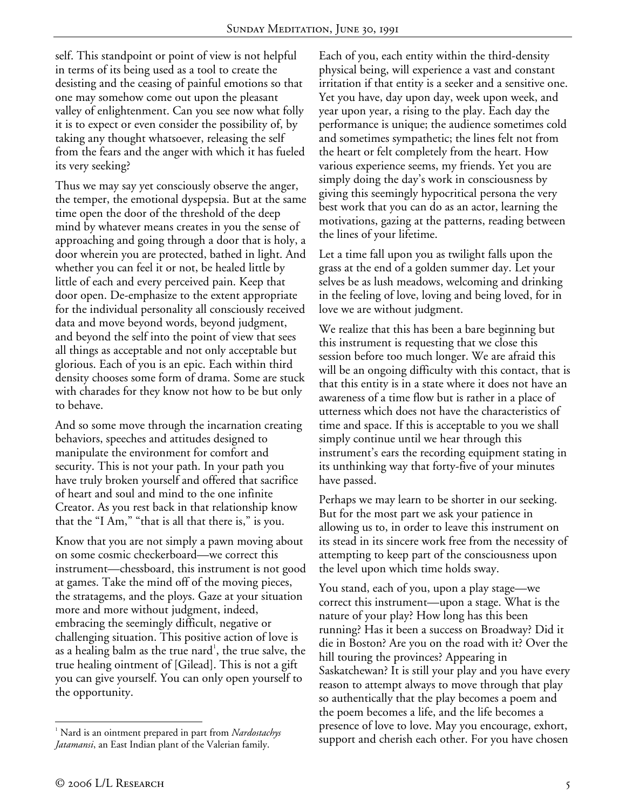self. This standpoint or point of view is not helpful in terms of its being used as a tool to create the desisting and the ceasing of painful emotions so that one may somehow come out upon the pleasant valley of enlightenment. Can you see now what folly it is to expect or even consider the possibility of, by taking any thought whatsoever, releasing the self from the fears and the anger with which it has fueled its very seeking?

Thus we may say yet consciously observe the anger, the temper, the emotional dyspepsia. But at the same time open the door of the threshold of the deep mind by whatever means creates in you the sense of approaching and going through a door that is holy, a door wherein you are protected, bathed in light. And whether you can feel it or not, be healed little by little of each and every perceived pain. Keep that door open. De-emphasize to the extent appropriate for the individual personality all consciously received data and move beyond words, beyond judgment, and beyond the self into the point of view that sees all things as acceptable and not only acceptable but glorious. Each of you is an epic. Each within third density chooses some form of drama. Some are stuck with charades for they know not how to be but only to behave.

And so some move through the incarnation creating behaviors, speeches and attitudes designed to manipulate the environment for comfort and security. This is not your path. In your path you have truly broken yourself and offered that sacrifice of heart and soul and mind to the one infinite Creator. As you rest back in that relationship know that the "I Am," "that is all that there is," is you.

Know that you are not simply a pawn moving about on some cosmic checkerboard—we correct this instrument—chessboard, this instrument is not good at games. Take the mind off of the moving pieces, the stratagems, and the ploys. Gaze at your situation more and more without judgment, indeed, embracing the seemingly difficult, negative or challenging situation. This positive action of love is as a healing balm as the true nard<sup>1</sup>, the true salve, the true healing ointment of [Gilead]. This is not a gift you can give yourself. You can only open yourself to the opportunity.

Each of you, each entity within the third-density physical being, will experience a vast and constant irritation if that entity is a seeker and a sensitive one. Yet you have, day upon day, week upon week, and year upon year, a rising to the play. Each day the performance is unique; the audience sometimes cold and sometimes sympathetic; the lines felt not from the heart or felt completely from the heart. How various experience seems, my friends. Yet you are simply doing the day's work in consciousness by giving this seemingly hypocritical persona the very best work that you can do as an actor, learning the motivations, gazing at the patterns, reading between the lines of your lifetime.

Let a time fall upon you as twilight falls upon the grass at the end of a golden summer day. Let your selves be as lush meadows, welcoming and drinking in the feeling of love, loving and being loved, for in love we are without judgment.

We realize that this has been a bare beginning but this instrument is requesting that we close this session before too much longer. We are afraid this will be an ongoing difficulty with this contact, that is that this entity is in a state where it does not have an awareness of a time flow but is rather in a place of utterness which does not have the characteristics of time and space. If this is acceptable to you we shall simply continue until we hear through this instrument's ears the recording equipment stating in its unthinking way that forty-five of your minutes have passed.

Perhaps we may learn to be shorter in our seeking. But for the most part we ask your patience in allowing us to, in order to leave this instrument on its stead in its sincere work free from the necessity of attempting to keep part of the consciousness upon the level upon which time holds sway.

You stand, each of you, upon a play stage—we correct this instrument—upon a stage. What is the nature of your play? How long has this been running? Has it been a success on Broadway? Did it die in Boston? Are you on the road with it? Over the hill touring the provinces? Appearing in Saskatchewan? It is still your play and you have every reason to attempt always to move through that play so authentically that the play becomes a poem and the poem becomes a life, and the life becomes a presence of love to love. May you encourage, exhort, support and cherish each other. For you have chosen

<u>.</u>

<sup>1</sup> Nard is an ointment prepared in part from *Nardostachys Jatamansi*, an East Indian plant of the Valerian family.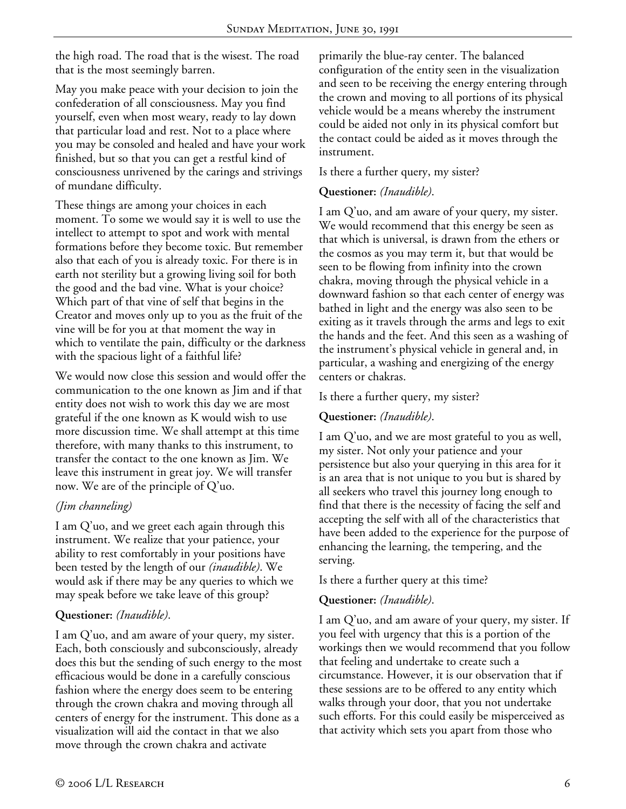the high road. The road that is the wisest. The road that is the most seemingly barren.

May you make peace with your decision to join the confederation of all consciousness. May you find yourself, even when most weary, ready to lay down that particular load and rest. Not to a place where you may be consoled and healed and have your work finished, but so that you can get a restful kind of consciousness unrivened by the carings and strivings of mundane difficulty.

These things are among your choices in each moment. To some we would say it is well to use the intellect to attempt to spot and work with mental formations before they become toxic. But remember also that each of you is already toxic. For there is in earth not sterility but a growing living soil for both the good and the bad vine. What is your choice? Which part of that vine of self that begins in the Creator and moves only up to you as the fruit of the vine will be for you at that moment the way in which to ventilate the pain, difficulty or the darkness with the spacious light of a faithful life?

We would now close this session and would offer the communication to the one known as Jim and if that entity does not wish to work this day we are most grateful if the one known as K would wish to use more discussion time. We shall attempt at this time therefore, with many thanks to this instrument, to transfer the contact to the one known as Jim. We leave this instrument in great joy. We will transfer now. We are of the principle of Q'uo.

# *(Jim channeling)*

I am Q'uo, and we greet each again through this instrument. We realize that your patience, your ability to rest comfortably in your positions have been tested by the length of our *(inaudible)*. We would ask if there may be any queries to which we may speak before we take leave of this group?

#### **Questioner:** *(Inaudible)*.

I am Q'uo, and am aware of your query, my sister. Each, both consciously and subconsciously, already does this but the sending of such energy to the most efficacious would be done in a carefully conscious fashion where the energy does seem to be entering through the crown chakra and moving through all centers of energy for the instrument. This done as a visualization will aid the contact in that we also move through the crown chakra and activate

primarily the blue-ray center. The balanced configuration of the entity seen in the visualization and seen to be receiving the energy entering through the crown and moving to all portions of its physical vehicle would be a means whereby the instrument could be aided not only in its physical comfort but the contact could be aided as it moves through the instrument.

Is there a further query, my sister?

# **Questioner:** *(Inaudible)*.

I am Q'uo, and am aware of your query, my sister. We would recommend that this energy be seen as that which is universal, is drawn from the ethers or the cosmos as you may term it, but that would be seen to be flowing from infinity into the crown chakra, moving through the physical vehicle in a downward fashion so that each center of energy was bathed in light and the energy was also seen to be exiting as it travels through the arms and legs to exit the hands and the feet. And this seen as a washing of the instrument's physical vehicle in general and, in particular, a washing and energizing of the energy centers or chakras.

Is there a further query, my sister?

# **Questioner:** *(Inaudible)*.

I am Q'uo, and we are most grateful to you as well, my sister. Not only your patience and your persistence but also your querying in this area for it is an area that is not unique to you but is shared by all seekers who travel this journey long enough to find that there is the necessity of facing the self and accepting the self with all of the characteristics that have been added to the experience for the purpose of enhancing the learning, the tempering, and the serving.

Is there a further query at this time?

# **Questioner:** *(Inaudible)*.

I am Q'uo, and am aware of your query, my sister. If you feel with urgency that this is a portion of the workings then we would recommend that you follow that feeling and undertake to create such a circumstance. However, it is our observation that if these sessions are to be offered to any entity which walks through your door, that you not undertake such efforts. For this could easily be misperceived as that activity which sets you apart from those who